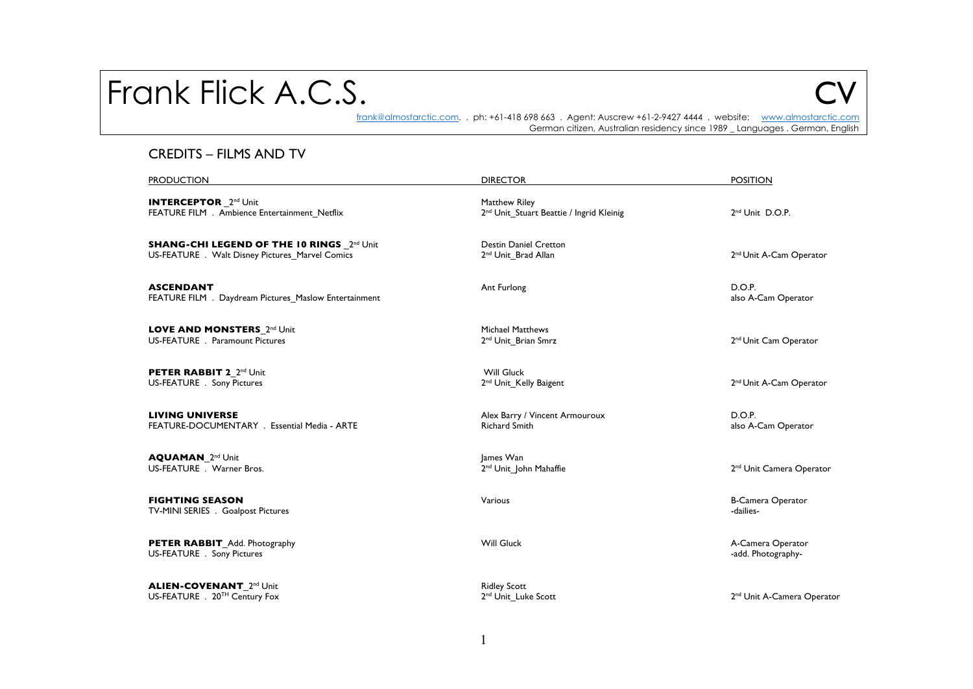# Frank Flick A.C.S.

frank@almostarctic.com. . ph: +61-418 698 663 . Agent: Auscrew +61-2-9427 4444 . website: www.almostarctic.com German citizen, Australian residency since 1989 \_ Languages . German, English

### CREDITS – FILMS AND TV

| <b>PRODUCTION</b>                                                                            | <b>DIRECTOR</b>                                                       | <b>POSITION</b>                         |
|----------------------------------------------------------------------------------------------|-----------------------------------------------------------------------|-----------------------------------------|
| <b>INTERCEPTOR</b> 2 <sup>nd</sup> Unit<br>FEATURE FILM . Ambience Entertainment Netflix     | Matthew Riley<br>2 <sup>nd</sup> Unit Stuart Beattie / Ingrid Kleinig | 2 <sup>nd</sup> Unit D.O.P.             |
| SHANG-CHI LEGEND OF THE 10 RINGS 2nd Unit<br>US-FEATURE . Walt Disney Pictures Marvel Comics | <b>Destin Daniel Cretton</b><br>2 <sup>nd</sup> Unit Brad Allan       | 2 <sup>nd</sup> Unit A-Cam Operator     |
| <b>ASCENDANT</b><br>FEATURE FILM . Daydream Pictures Maslow Entertainment                    | Ant Furlong                                                           | D.O.P.<br>also A-Cam Operator           |
| LOVE AND MONSTERS_2nd Unit<br>US-FEATURE . Paramount Pictures                                | <b>Michael Matthews</b><br>2 <sup>nd</sup> Unit_Brian Smrz            | 2 <sup>nd</sup> Unit Cam Operator       |
| PETER RABBIT 2 2 <sup>nd</sup> Unit<br>US-FEATURE . Sony Pictures                            | <b>Will Gluck</b><br>2 <sup>nd</sup> Unit Kelly Baigent               | 2 <sup>nd</sup> Unit A-Cam Operator     |
| <b>LIVING UNIVERSE</b><br>FEATURE-DOCUMENTARY . Essential Media - ARTE                       | Alex Barry / Vincent Armouroux<br><b>Richard Smith</b>                | D.O.P.<br>also A-Cam Operator           |
| <b>AQUAMAN 2nd Unit</b><br>US-FEATURE . Warner Bros.                                         | James Wan<br>2 <sup>nd</sup> Unit John Mahaffie                       | 2 <sup>nd</sup> Unit Camera Operator    |
| <b>FIGHTING SEASON</b><br>TV-MINI SERIES . Goalpost Pictures                                 | Various                                                               | <b>B-Camera Operator</b><br>-dailies-   |
| PETER RABBIT_Add. Photography<br>US-FEATURE . Sony Pictures                                  | <b>Will Gluck</b>                                                     | A-Camera Operator<br>-add. Photography- |
| <b>ALIEN-COVENANT</b> 2 <sup>nd</sup> Unit<br>US-FEATURE . 20TH Century Fox                  | <b>Ridley Scott</b><br>2 <sup>nd</sup> Unit Luke Scott                | 2 <sup>nd</sup> Unit A-Camera Operator  |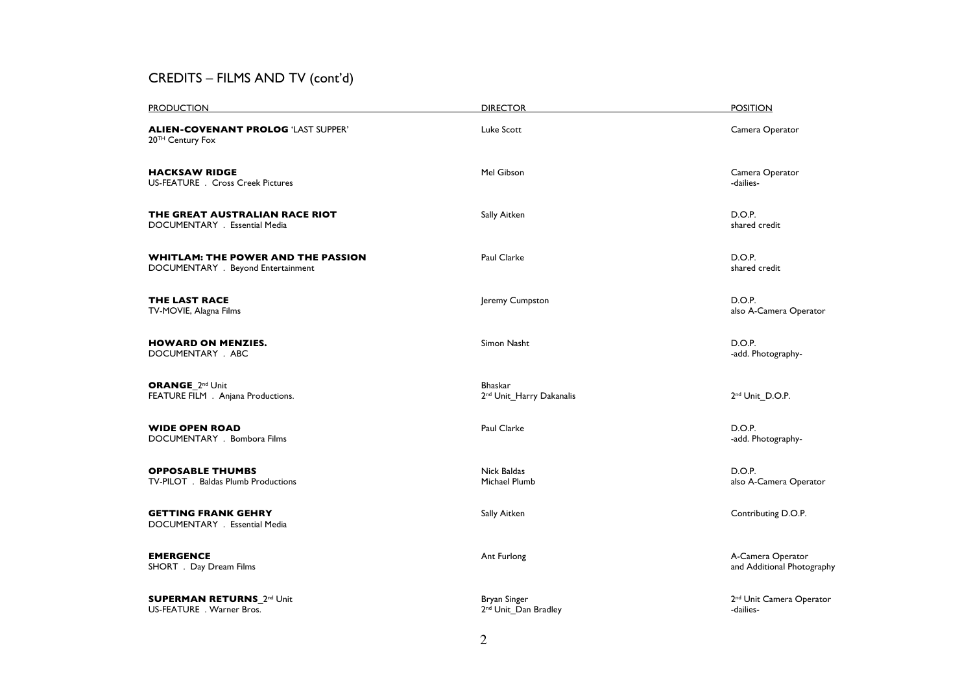## CREDITS – FILMS AND TV (cont'd)

| <b>PRODUCTION</b>                                                               | <b>DIRECTOR</b>                                        | <b>POSITION</b>                                   |
|---------------------------------------------------------------------------------|--------------------------------------------------------|---------------------------------------------------|
| <b>ALIEN-COVENANT PROLOG 'LAST SUPPER'</b><br>20 <sup>TH</sup> Century Fox      | Luke Scott                                             | Camera Operator                                   |
| <b>HACKSAW RIDGE</b><br>US-FEATURE . Cross Creek Pictures                       | Mel Gibson                                             | Camera Operator<br>-dailies-                      |
| THE GREAT AUSTRALIAN RACE RIOT<br>DOCUMENTARY . Essential Media                 | Sally Aitken                                           | D.O.P.<br>shared credit                           |
| <b>WHITLAM: THE POWER AND THE PASSION</b><br>DOCUMENTARY . Beyond Entertainment | Paul Clarke                                            | D.O.P.<br>shared credit                           |
| <b>THE LAST RACE</b><br>TV-MOVIE, Alagna Films                                  | Jeremy Cumpston                                        | D.O.P.<br>also A-Camera Operator                  |
| <b>HOWARD ON MENZIES.</b><br>DOCUMENTARY . ABC                                  | Simon Nasht                                            | D.O.P.<br>-add. Photography-                      |
| <b>ORANGE 2nd Unit</b><br>FEATURE FILM . Anjana Productions.                    | <b>Bhaskar</b><br>2 <sup>nd</sup> Unit Harry Dakanalis | 2 <sup>nd</sup> Unit D.O.P.                       |
| <b>WIDE OPEN ROAD</b><br>DOCUMENTARY . Bombora Films                            | Paul Clarke                                            | D.O.P.<br>-add. Photography-                      |
| <b>OPPOSABLE THUMBS</b><br>TV-PILOT . Baldas Plumb Productions                  | Nick Baldas<br>Michael Plumb                           | D.O.P.<br>also A-Camera Operator                  |
| <b>GETTING FRANK GEHRY</b><br>DOCUMENTARY . Essential Media                     | Sally Aitken                                           | Contributing D.O.P.                               |
| <b>EMERGENCE</b><br>SHORT . Day Dream Films                                     | Ant Furlong                                            | A-Camera Operator<br>and Additional Photography   |
| <b>SUPERMAN RETURNS</b> 2 <sup>nd</sup> Unit<br>US-FEATURE . Warner Bros.       | Bryan Singer<br>2 <sup>nd</sup> Unit Dan Bradley       | 2 <sup>nd</sup> Unit Camera Operator<br>-dailies- |